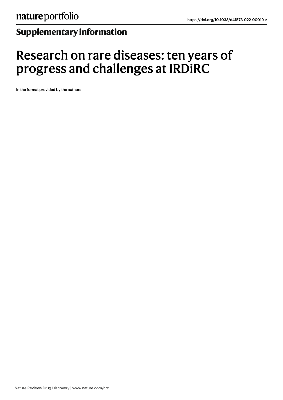# **Supplementaryinformation**

# Research on rare diseases: ten years of progress and challenges at IRDiRC

In the format provided by the authors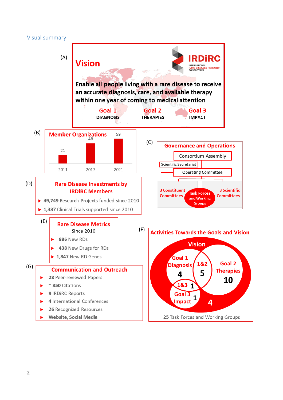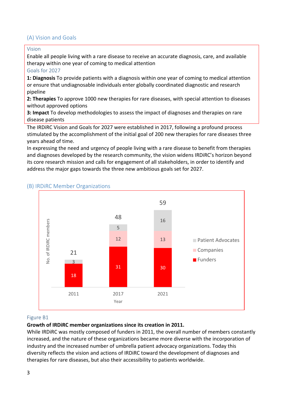# (A) Vision and Goals

#### Vision

Enable all people living with a rare disease to receive an accurate diagnosis, care, and available therapy within one year of coming to medical attention

#### Goals for 2027

**1: Diagnosis** To provide patients with a diagnosis within one year of coming to medical attention or ensure that undiagnosable individuals enter globally coordinated diagnostic and research pipeline

**2: Therapies** To approve 1000 new therapies for rare diseases, with special attention to diseases without approved options

**3: Impact** To develop methodologies to assess the impact of diagnoses and therapies on rare disease patients

The IRDiRC Vision and Goals for 2027 were established in 2017, following a profound process stimulated by the accomplishment of the initial goal of 200 new therapies for rare diseases three years ahead of time.

In expressing the need and urgency of people living with a rare disease to benefit from therapies and diagnoses developed by the research community, the vision widens IRDiRC's horizon beyond its core research mission and calls for engagement of all stakeholders, in order to identify and address the major gaps towards the three new ambitious goals set for 2027.



# (B) IRDiRC Member Organizations

#### Figure B1

#### **Growth of IRDiRC member organizations since its creation in 2011.**

While IRDiRC was mostly composed of funders in 2011, the overall number of members constantly increased, and the nature of these organizations became more diverse with the incorporation of industry and the increased number of umbrella patient advocacy organizations. Today this diversity reflects the vision and actions of IRDiRC toward the development of diagnoses and therapies for rare diseases, but also their accessibility to patients worldwide.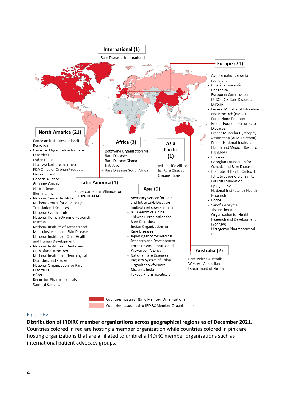

#### Figure B2

**Distribution of IRDiRC member organizations across geographical regions as of December 2021.**

Countries colored in red are hosting a member organization while countries colored in pink are hosting organizations that are affiliated to umbrella IRDiRC member organizations such as international patient advocacy groups.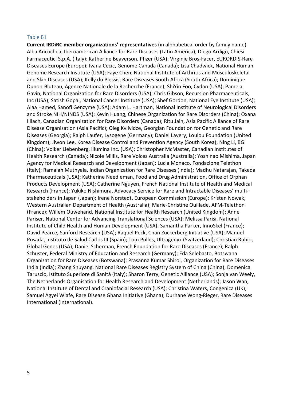#### Table B1

**Current IRDiRC member organizations' representatives** (in alphabetical order by family name) Alba Ancochea, Iberoamerican Alliance for Rare Diseases (Latin America); Diego Ardigò, Chiesi Farmaceutici S.p.A. (Italy); Katherine Beaverson, Pfizer (USA); Virginie Bros-Facer, EURORDIS-Rare Diseases Europe (Europe); Ivana Cecic, Genome Canada (Canada); Lisa Chadwick, National Human Genome Research Institute (USA); Faye Chen, National Institute of Arthritis and Musculoskeletal and Skin Diseases (USA); Kelly du Plessis, Rare Diseases South Africa (South Africa); Dominique Dunon-Bluteau, Agence Nationale de la Recherche (France); ShiYin Foo, Cydan (USA); Pamela Gavin, National Organization for Rare Disorders (USA); Chris Gibson, Recursion Pharmaceuticals, Inc (USA); Satish Gopal, National Cancer Institute (USA); Shef Gordon, National Eye Institute (USA); Alaa Hamed, Sanofi Genzyme (USA); Adam L. Hartman, National Institute of Neurological Disorders and Stroke NIH/NINDS (USA); Kevin Huang, Chinese Organization for Rare Disorders (China); Oxana Illiach, Canadian Organization for Rare Disorders (Canada); Ritu Jain, Asia Pacific Alliance of Rare Disease Organisation (Asia Pacific); Oleg Kvlividze, Georgian Foundation for Genetic and Rare Diseases (Georgia); Ralph Laufer, Lysogene (Germany); Daniel Lavery, Loulou Foundation (United Kingdom); Jiwon Lee, Korea Disease Control and Prevention Agency (South Korea); Ning Li, BGI (China); Volker Liebenberg, illumina Inc. (USA); Christopher McMaster, Canadian Institutes of Health Research (Canada); Nicole Millis, Rare Voices Australia (Australia); Yoshinao Mishima, Japan Agency for Medical Research and Development (Japan); Lucia Monaco, Fondazione Telethon (Italy); Ramaiah Muthyala, Indian Organization for Rare Diseases (India); Madhu Natarajan, Takeda Pharmaceuticals (USA); Katherine Needleman, Food and Drug Administration, Office of Orphan Products Development (USA); Catherine Nguyen, French National Institute of Health and Medical Research (France); Yukiko Nishimura, Advocacy Service for Rare and Intractable Diseases' multistakeholders in Japan (Japan); Irene Norstedt, European Commission (Europe); Kristen Nowak, Western Australian Department of Health (Australia); Marie-Christine Ouillade, AFM-Telethon (France); Willem Ouwehand, National Institute for Health Research (United Kingdom); Anne Pariser, National Center for Advancing Translational Sciences (USA); Melissa Parisi, National Institute of Child Health and Human Development (USA); Samantha Parker, InnoSkel (France); David Pearce, Sanford Research (USA); Raquel Peck, Chan Zuckerberg Initiative (USA); Manuel Posada, Instituto de Salud Carlos III (Spain); Tom Pulles, Ultragenyx (Switzerland); Christian Rubio, Global Genes (USA); Daniel Scherman, French Foundation for Rare Diseases (France); Ralph Schuster, Federal Ministry of Education and Research (Germany); Eda Selebasto, Botswana Organization for Rare Diseases (Botswana); Prasanna Kumar Shirol, Organization for Rare Diseases India (India); Zhang Shuyang, National Rare Diseases Registry System of China (China); Domenica Taruscio, Istituto Superiore di Sanità (Italy); Sharon Terry, Genetic Alliance (USA); Sonja van Weely, The Netherlands Organisation for Health Research and Development (Netherlands); Jason Wan, National Institute of Dental and Craniofacial Research (USA); Christina Waters, Congenica (UK); Samuel Agyei Wiafe, Rare Disease Ghana Initiative (Ghana); Durhane Wong-Rieger, Rare Diseases International (International).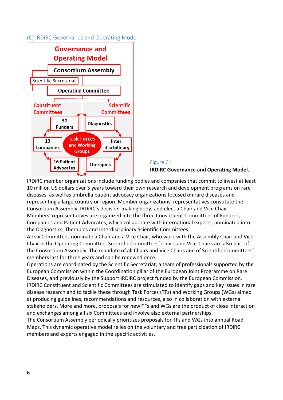## (C) IRDiRC Governance and Operating Model



# Figure C1 **IRDiRC Governance and Operating Model.**

IRDiRC member organizations include funding bodies and companies that commit to invest at least 10 million US dollars over 5 years toward their own research and development programs on rare diseases, as well as umbrella patient advocacy organizations focused on rare diseases and representing a large country or region. Member organizations' representatives constitute the Consortium Assembly, IRDiRC's decision-making body, and elect a Chair and Vice Chair. Members' representatives are organized into the three Constituent Committees of Funders, Companies and Patient Advocates, which collaborate with international experts, nominated into the Diagnostics, Therapies and Interdisciplinary Scientific Committees.

All six Committees nominate a Chair and a Vice Chair, who work with the Assembly Chair and Vice-Chair in the Operating Committee. Scientific Committees' Chairs and Vice-Chairs are also part of the Consortium Assembly. The mandate of all Chairs and Vice Chairs and of Scientific Committees' members last for three years and can be renewed once.

Operations are coordinated by the Scientific Secretariat, a team of professionals supported by the European Commission within the Coordination pillar of the European Joint Programme on Rare Diseases, and previously by the Support IRDiRC project funded by the European Commission. IRDiRC Constituent and Scientific Committees are stimulated to identify gaps and key issues in rare disease research and to tackle these through Task Forces (TFs) and Working Groups (WGs) aimed at producing guidelines, recommendations and resources, also in collaboration with external stakeholders. More and more, proposals for new TFs and WGs are the product of close interaction and exchanges among all six Committees and involve also external partnerships.

The Consortium Assembly periodically prioritizes proposals for TFs and WGs into annual Road Maps. This dynamic operative model relies on the voluntary and free participation of IRDiRC members and experts engaged in the specific activities.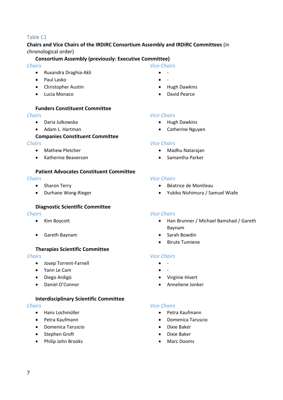#### Table C1

#### **Chairs and Vice Chairs of the IRDiRC Consortium Assembly and IRDiRC Committees** (in chronological order)

#### **Consortium Assembly (previously: Executive Committee)**

#### *Chairs*

- Ruxandra Draghia-Akli
- Paul Lasko
- Christopher Austin
- Lucia Monaco

#### **Funders Constituent Committee**

#### *Chairs*

- Daria Julkowska
- Adam L. Hartman

#### **Companies Constituent Committee**

#### *Chairs*

- Mathew Pletcher
- Katherine Beaverson

#### **Patient Advocates Constituent Committee**

#### *Chairs*

- Sharon Terry
- Durhane Wong-Rieger

#### **Diagnostic Scientific Committee**

#### *Chairs*

- Kim Boycott
- Gareth Baynam

#### **Therapies Scientific Committee**

#### *Chairs*

- Josep Torrent-Farnell
- Yann Le Cam
- Diego Ardigò
- Daniel O'Connor

#### **Interdisciplinary Scientific Committee**

#### *Chairs*

- Hans Lochmüller
- Petra Kaufmann
- Domenica Taruscio
- Stephen Groft
- Philip John Brooks

#### *Vice Chairs*

- -
- -
- Hugh Dawkins
- David Pearce

#### *Vice Chairs*

- Hugh Dawkins
- Catherine Nguyen

#### *Vice Chairs*

- Madhu Natarajan
- Samantha Parker

#### *Vice Chairs*

- Béatrice de Montleau
- Yukiko Nishimura / Samuel Wiafe

#### *Vice Chairs*

- Han Brunner / Michael Bamshad / Gareth Baynam
- Sarah Bowdin
- Birute Tumiene

#### *Vice Chairs*

- -
- $\bullet$   $\bullet$
- Virginie Hivert
- Anneliene Jonker

#### *Vice Chairs*

- Petra Kaufmann
- Domenica Taruscio
- Dixie Baker
- Dixie Baker
- Marc Dooms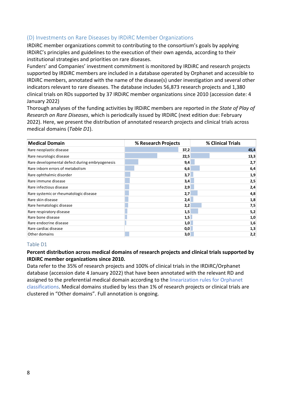# (D) Investments on Rare Diseases by IRDiRC Member Organizations

IRDiRC member organizations commit to contributing to the consortium's goals by applying IRDiRC's principles and guidelines to the execution of their own agenda, according to their institutional strategies and priorities on rare diseases.

Funders' and Companies' investment commitment is monitored by IRDiRC and research projects supported by IRDiRC members are included in a database operated by Orphanet and accessible to IRDiRC members, annotated with the name of the disease(s) under investigation and several other indicators relevant to rare diseases. The database includes 56,873 research projects and 1,380 clinical trials on RDs supported by 37 IRDiRC member organizations since 2010 (accession date: 4 January 2022)

Thorough analyses of the funding activities by IRDiRC members are reported in *the State of Play of Research on Rare Diseases*, which is periodically issued by IRDiRC (next edition due: February 2022). Here, we present the distribution of annotated research projects and clinical trials across medical domains (*Table D1*).

| <b>Medical Domain</b>                          | % Research Projects | % Clinical Trials |
|------------------------------------------------|---------------------|-------------------|
| Rare neoplastic disease                        | 37,2                | 45,4              |
| Rare neurologic disease                        | 22,5                | 13,3              |
| Rare developmental defect during embryogenesis | 9,4                 | 2,7               |
| Rare inborn errors of metabolism               | 6,6                 | 6,4               |
| Rare ophthalmic disorder                       | 3,7                 | 1,9               |
| Rare immune disease                            | 3,4                 | 2,5               |
| Rare infectious disease                        | 2,9                 | 2,4               |
| Rare systemic or rheumatologic disease         | 2,7                 | 4,8               |
| Rare skin disease                              | 2,4                 | 1,8               |
| Rare hematologic disease                       | 2,2                 | 7,5               |
| Rare respiratory disease                       | 1,5                 | 5,2               |
| Rare bone disease                              | 1,5                 | 1,0               |
| Rare endocrine disease                         | 1,0                 | 1,6               |
| Rare cardiac disease                           | 0,0                 | 1,3               |
| Other domains                                  | 3,0                 | 2,2               |

#### Table D1

# **Percent distribution across medical domains of research projects and clinical trials supported by IRDiRC member organizations since 2010.**

Data refer to the 35% of research projects and 100% of clinical trials in the IRDiRC/Orphanet database (accession date 4 January 2022) that have been annotated with the relevant RD and assigned to the preferential medical domain according to the linearization rules for Orphanet classifications. Medical domains studied by less than 1% of research projects or clinical trials are clustered in "Other domains". Full annotation is ongoing.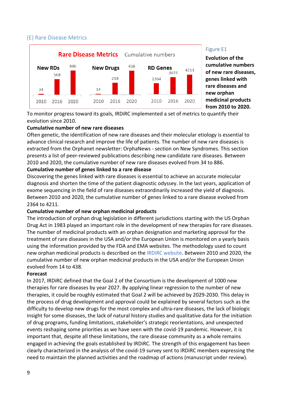# (E) Rare Disease Metrics



#### Figure E1

**Evolution of the cumulative numbers of new rare diseases, genes linked with rare diseases and new orphan medicinal products from 2010 to 2020.**

To monitor progress toward its goals, IRDiRC implemented a set of metrics to quantify their evolution since 2010.

#### **Cumulative number of new rare diseases**

Often genetic, the identification of new rare diseases and their molecular etiology is essential to advance clinical research and improve the life of patients. The number of new rare diseases is extracted from the Orphanet newsletter: OrphaNews - section on New Syndromes. This section presents a list of peer-reviewed publications describing new candidate rare diseases. Between 2010 and 2020, the cumulative number of new rare diseases evolved from 34 to 886.

#### **Cumulative number of genes linked to a rare disease**

Discovering the genes linked with rare diseases is essential to achieve an accurate molecular diagnosis and shorten the time of the patient diagnostic odyssey. In the last years, application of exome sequencing in the field of rare diseases extraordinarily increased the yield of diagnosis. Between 2010 and 2020, the cumulative number of genes linked to a rare disease evolved from 2364 to 4211.

#### **Cumulative number of new orphan medicinal products**

The introduction of orphan drug legislation in different jurisdictions starting with the US Orphan Drug Act in 1983 played an important role in the development of new therapies for rare diseases. The number of medicinal products with an orphan designation and marketing approval for the treatment of rare diseases in the USA and/or the European Union is monitored on a yearly basis using the information provided by the FDA and EMA websites. The methodology used to count new orphan medicinal products is described on the IRDiRC website. Between 2010 and 2020, the cumulative number of new orphan medicinal products in the USA and/or the European Union evolved from 14 to 438.

#### **Forecast**

In 2017, IRDiRC defined that the Goal 2 of the Consortium is the development of 1000 new therapies for rare diseases by year 2027. By applying linear regression to the number of new therapies, it could be roughly estimated that Goal 2 will be achieved by 2029-2030. This delay in the process of drug development and approval could be explained by several factors such as the difficulty to develop new drugs for the most complex and ultra-rare diseases, the lack of biologic insight for some diseases, the lack of natural history studies and qualitative data for the initiation of drug programs, funding limitations, stakeholder's strategic reorientations, and unexpected events reshaping some priorities as we have seen with the covid-19 pandemic. However, it is important that, despite all these limitations, the rare disease community as a whole remains engaged in achieving the goals established by IRDiRC. The strength of this engagement has been clearly characterized in the analysis of the covid-19 survey sent to IRDiRC members expressing the need to maintain the planned activities and the roadmap of actions (manuscript under review).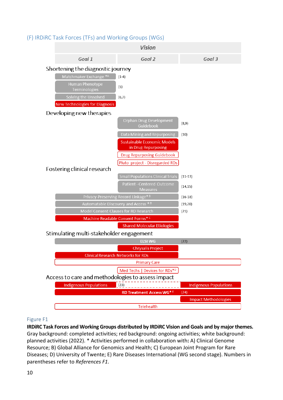#### **Vision** Goal 1 Goal 2 Goal 3 Shortening the diagnostic journey Matchmaker Exchange \*A  $(1-4)$ Human Phenotype  $(5)$ Terminologies Solving the Unsolved  $(6,7)$ **New Technologies for Diagnosis** Developing new therapies Orphan Drug Development  $(8.9)$ Guidebool Data Mining and Repurposing  $(10)$ **Sustainable Economic Models** in Drug Repurposing **Drug Repurposing Guidebook** Pluto project - Disregarded RDs Fostering clinical research  $(11-13)$  $(14, 15)$ **Measures** Privacy-Preserving Record Linkage\*<sup>8</sup>  $(16-18)$ Automatable Discovery and Access \* B  $(19, 20)$  $(21)$ Machine Readable Consent Forms\*<sup>c</sup> **Shared Molecular Etiologies** Stimulating multi-stakeholder engagement **ELSI WG**  $(22)$ **Chrysalis Project Clinical Research Networks for RDs Primary Care** Med Techs | Devices for RDs\*D Access to care and methodologies to assess impact **Indigenous Populations**  $(23)$ **Indigenous Populations**  $(24)$ **RD Treatment Access WG\* Impact Methodologies**

# (F) IRDiRC Task Forces (TFs) and Working Groups (WGs)

# Telehealth

# Figure F1

**IRDiRC Task Forces and Working Groups distributed by IRDiRC Vision and Goals and by major themes.** Gray background: completed activities; red background: ongoing activities; white background: planned activities (2022). \* Activities performed in collaboration with**:** A) Clinical Genome Resource; B) Global Alliance for Genomics and Health; C) European Joint Program for Rare Diseases; D) University of Twente; E) Rare Diseases International (WG second stage). Numbers in parentheses refer to *References F1*.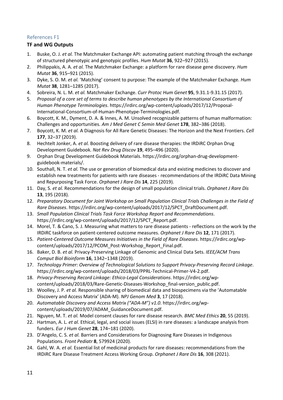# References F1

## **TF and WG Outputs**

- 1. Buske, O. J. *et al.* The Matchmaker Exchange API: automating patient matching through the exchange of structured phenotypic and genotypic profiles. *Hum Mutat* **36**, 922–927 (2015).
- 2. Philippakis, A. A. *et al.* The Matchmaker Exchange: a platform for rare disease gene discovery. *Hum Mutat* **36**, 915–921 (2015).
- 3. Dyke, S. O. M. *et al.* 'Matching' consent to purpose: The example of the Matchmaker Exchange. *Hum Mutat* **38**, 1281–1285 (2017).
- 4. Sobreira, N. L. M. *et al.* Matchmaker Exchange. *Curr Protoc Hum Genet* **95**, 9.31.1-9.31.15 (2017).
- 5. *Proposal of a core set of terms to describe human phenotypes by the International Consortium of Human Phenotype Terminologies*. https://irdirc.org/wp-content/uploads/2017/12/Proposal-International-Consortium-of-Human-Phenotype-Terminologies.pdf.
- 6. Boycott, K. M., Dyment, D. A. & Innes, A. M. Unsolved recognizable patterns of human malformation: Challenges and opportunities. *Am J Med Genet C Semin Med Genet* **178**, 382–386 (2018).
- 7. Boycott, K. M. *et al.* A Diagnosis for All Rare Genetic Diseases: The Horizon and the Next Frontiers. *Cell* **177**, 32–37 (2019).
- 8. Hechtelt Jonker, A. *et al.* Boosting delivery of rare disease therapies: the IRDiRC Orphan Drug Development Guidebook. *Nat Rev Drug Discov* **19**, 495–496 (2020).
- 9. Orphan Drug Development Guidebook Materials. https://irdirc.org/orphan-drug-developmentguidebook-materials/.
- 10. Southall, N. T. *et al.* The use or generation of biomedical data and existing medicines to discover and establish new treatments for patients with rare diseases - recommendations of the IRDiRC Data Mining and Repurposing Task Force. *Orphanet J Rare Dis* **14**, 225 (2019).
- 11. Day, S. *et al.* Recommendations for the design of small population clinical trials. *Orphanet J Rare Dis* **13**, 195 (2018).
- 12. *Preparatory Document for Joint Workshop on Small Population Clinical Trials Challenges in the Field of Rare Diseases*. https://irdirc.org/wp-content/uploads/2017/12/SPCT\_DraftDocument.pdf.
- 13. *Small Population Clinical Trials Task Force Workshop Report and Recommendations*. https://irdirc.org/wp-content/uploads/2017/12/SPCT\_Report.pdf.
- 14. Morel, T. & Cano, S. J. Measuring what matters to rare disease patients reflections on the work by the IRDiRC taskforce on patient-centered outcome measures. *Orphanet J Rare Dis* **12**, 171 (2017).
- 15. *Patient-Centered Outcome Measures Initiatives in the Field of Rare Diseases*. https://irdirc.org/wpcontent/uploads/2017/12/PCOM\_Post-Workshop\_Report\_Final.pdf.
- 16. Baker, D. B. *et al.* Privacy-Preserving Linkage of Genomic and Clinical Data Sets. *IEEE/ACM Trans Comput Biol Bioinform* **16**, 1342–1348 (2019).
- 17. *Technology Primer: Overview of Technological Solutions to Support Privacy-Preserving Record Linkage*. https://irdirc.org/wp-content/uploads/2018/03/PPRL-Technical-Primer-V4-2.pdf.
- 18. *Privacy-Preserving Record Linkage: Ethico-Legal Considerations*. https://irdirc.org/wpcontent/uploads/2018/03/Rare-Genetic-Diseases-Workshop\_final-version\_public.pdf.
- 19. Woolley, J. P. *et al.* Responsible sharing of biomedical data and biospecimens via the 'Automatable Discovery and Access Matrix' (ADA-M). *NPJ Genom Med* **3**, 17 (2018).
- 20. *Automatable Discovery and Access Matrix ("ADA-M") v1.0*. https://irdirc.org/wpcontent/uploads/2019/07/ADAM\_GuidanceDocument.pdf.
- 21. Nguyen, M. T. *et al.* Model consent clauses for rare disease research. *BMC Med Ethics* **20**, 55 (2019).
- 22. Hartman, A. L. *et al.* Ethical, legal, and social issues (ELSI) in rare diseases: a landscape analysis from funders. *Eur J Hum Genet* **28**, 174–181 (2020).
- 23. D'Angelo, C. S. *et al.* Barriers and Considerations for Diagnosing Rare Diseases in Indigenous Populations. *Front Pediatr* **8**, 579924 (2020).
- 24. Gahl, W. A. *et al.* Essential list of medicinal products for rare diseases: recommendations from the IRDiRC Rare Disease Treatment Access Working Group. *Orphanet J Rare Dis* **16**, 308 (2021).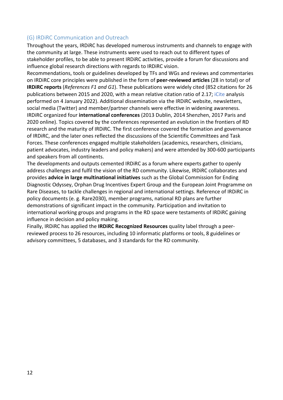## (G) IRDiRC Communication and Outreach

Throughout the years, IRDiRC has developed numerous instruments and channels to engage with the community at large. These instruments were used to reach out to different types of stakeholder profiles, to be able to present IRDiRC activities, provide a forum for discussions and influence global research directions with regards to IRDiRC vision.

Recommendations, tools or guidelines developed by TFs and WGs and reviews and commentaries on IRDiRC core principles were published in the form of **peer-reviewed articles** (28 in total) or of **IRDiRC reports** (*References F1 and G1*). These publications were widely cited (852 citations for 26 publications between 2015 and 2020, with a mean relative citation ratio of 2.17; iCite analysis performed on 4 January 2022). Additional dissemination via the IRDiRC website, newsletters, social media (Twitter) and member/partner channels were effective in widening awareness. IRDiRC organized four **international conferences** (2013 Dublin, 2014 Shenzhen, 2017 Paris and 2020 online). Topics covered by the conferences represented an evolution in the frontiers of RD research and the maturity of IRDiRC. The first conference covered the formation and governance of IRDiRC, and the later ones reflected the discussions of the Scientific Committees and Task Forces. These conferences engaged multiple stakeholders (academics, researchers, clinicians, patient advocates, industry leaders and policy makers) and were attended by 300-600 participants and speakers from all continents.

The developments and outputs cemented IRDiRC as a forum where experts gather to openly address challenges and fulfil the vision of the RD community. Likewise, IRDiRC collaborates and provides **advice in large multinational initiatives** such as the Global Commission for Ending Diagnostic Odyssey, Orphan Drug Incentives Expert Group and the European Joint Programme on Rare Diseases, to tackle challenges in regional and international settings. Reference of IRDiRC in policy documents (e. g. Rare2030), member programs, national RD plans are further demonstrations of significant impact in the community. Participation and invitation to international working groups and programs in the RD space were testaments of IRDiRC gaining influence in decision and policy making.

Finally, IRDiRC has applied the **IRDiRC Recognized Resources** quality label through a peerreviewed process to 26 resources, including 10 informatic platforms or tools, 8 guidelines or advisory committees, 5 databases, and 3 standards for the RD community.